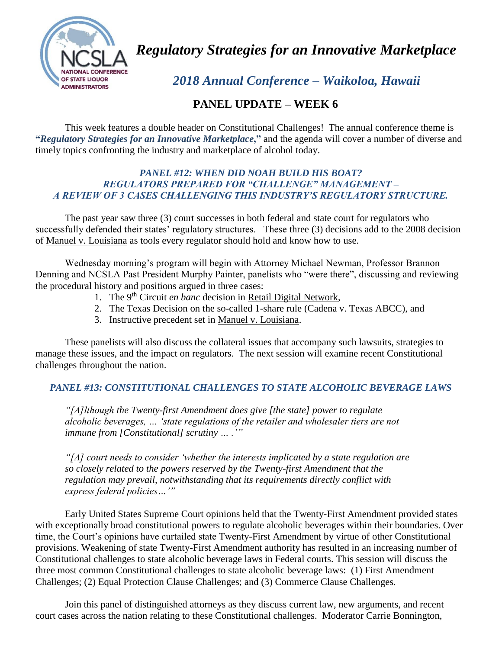

*Regulatory Strategies for an Innovative Marketplace*

 *2018 Annual Conference – Waikoloa, Hawaii*

## **PANEL UPDATE – WEEK 6**

This week features a double header on Constitutional Challenges! The annual conference theme is **"***Regulatory Strategies for an Innovative Marketplace***,"** and the agenda will cover a number of diverse and timely topics confronting the industry and marketplace of alcohol today.

## *PANEL #12: WHEN DID NOAH BUILD HIS BOAT? REGULATORS PREPARED FOR "CHALLENGE" MANAGEMENT – A REVIEW OF 3 CASES CHALLENGING THIS INDUSTRY'S REGULATORY STRUCTURE.*

The past year saw three (3) court successes in both federal and state court for regulators who successfully defended their states' regulatory structures. These three (3) decisions add to the 2008 decision of Manuel v. Louisiana as tools every regulator should hold and know how to use.

Wednesday morning's program will begin with Attorney Michael Newman, Professor Brannon Denning and NCSLA Past President Murphy Painter, panelists who "were there", discussing and reviewing the procedural history and positions argued in three cases:

- 1. The 9th Circuit *en banc* decision in Retail Digital Network,
- 2. The Texas Decision on the so-called 1-share rule (Cadena v. Texas ABCC), and
- 3. Instructive precedent set in Manuel v. Louisiana.

These panelists will also discuss the collateral issues that accompany such lawsuits, strategies to manage these issues, and the impact on regulators. The next session will examine recent Constitutional challenges throughout the nation.

## *PANEL #13: CONSTITUTIONAL CHALLENGES TO STATE ALCOHOLIC BEVERAGE LAWS*

*"[A]lthough the Twenty-first Amendment does give [the state] power to regulate alcoholic beverages, … 'state regulations of the retailer and wholesaler tiers are not immune from [Constitutional] scrutiny … .'"*

*"[A] court needs to consider 'whether the interests implicated by a state regulation are so closely related to the powers reserved by the Twenty-first Amendment that the regulation may prevail, notwithstanding that its requirements directly conflict with express federal policies…'"*

Early United States Supreme Court opinions held that the Twenty-First Amendment provided states with exceptionally broad constitutional powers to regulate alcoholic beverages within their boundaries. Over time, the Court's opinions have curtailed state Twenty-First Amendment by virtue of other Constitutional provisions. Weakening of state Twenty-First Amendment authority has resulted in an increasing number of Constitutional challenges to state alcoholic beverage laws in Federal courts. This session will discuss the three most common Constitutional challenges to state alcoholic beverage laws: (1) First Amendment Challenges; (2) Equal Protection Clause Challenges; and (3) Commerce Clause Challenges.

Join this panel of distinguished attorneys as they discuss current law, new arguments, and recent court cases across the nation relating to these Constitutional challenges. Moderator Carrie Bonnington,